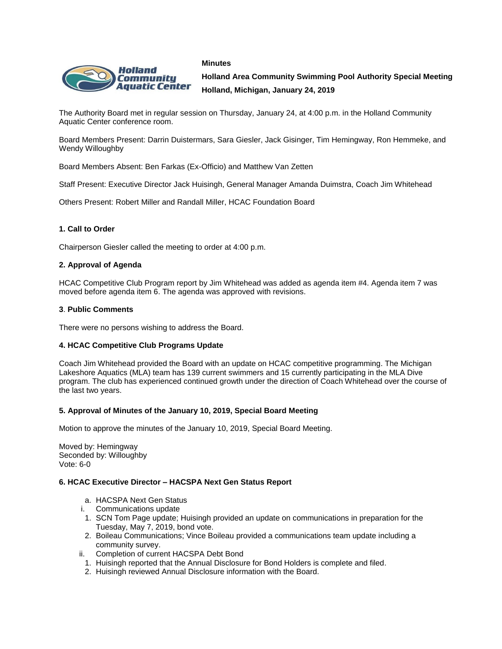



**Holland Area Community Swimming Pool Authority Special Meeting Holland, Michigan, January 24, 2019**

The Authority Board met in regular session on Thursday, January 24, at 4:00 p.m. in the Holland Community Aquatic Center conference room.

Board Members Present: Darrin Duistermars, Sara Giesler, Jack Gisinger, Tim Hemingway, Ron Hemmeke, and Wendy Willoughby

Board Members Absent: Ben Farkas (Ex-Officio) and Matthew Van Zetten

Staff Present: Executive Director Jack Huisingh, General Manager Amanda Duimstra, Coach Jim Whitehead

Others Present: Robert Miller and Randall Miller, HCAC Foundation Board

# **1. Call to Order**

Chairperson Giesler called the meeting to order at 4:00 p.m.

### **2. Approval of Agenda**

HCAC Competitive Club Program report by Jim Whitehead was added as agenda item #4. Agenda item 7 was moved before agenda item 6. The agenda was approved with revisions.

### **3**. **Public Comments**

There were no persons wishing to address the Board.

### **4. HCAC Competitive Club Programs Update**

Coach Jim Whitehead provided the Board with an update on HCAC competitive programming. The Michigan Lakeshore Aquatics (MLA) team has 139 current swimmers and 15 currently participating in the MLA Dive program. The club has experienced continued growth under the direction of Coach Whitehead over the course of the last two years.

### **5. Approval of Minutes of the January 10, 2019, Special Board Meeting**

Motion to approve the minutes of the January 10, 2019, Special Board Meeting.

Moved by: Hemingway Seconded by: Willoughby Vote: 6-0

### **6. HCAC Executive Director – HACSPA Next Gen Status Report**

- a. HACSPA Next Gen Status
- i. Communications update
- 1. SCN Tom Page update; Huisingh provided an update on communications in preparation for the Tuesday, May 7, 2019, bond vote.
- 2. Boileau Communications; Vince Boileau provided a communications team update including a community survey.
- ii. Completion of current HACSPA Debt Bond
	- 1. Huisingh reported that the Annual Disclosure for Bond Holders is complete and filed.
	- 2. Huisingh reviewed Annual Disclosure information with the Board.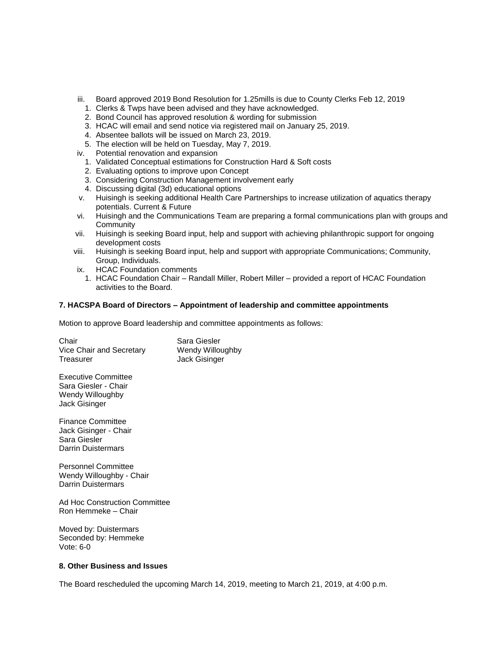- iii. Board approved 2019 Bond Resolution for 1.25mills is due to County Clerks Feb 12, 2019
	- 1. Clerks & Twps have been advised and they have acknowledged.
	- 2. Bond Council has approved resolution & wording for submission
	- 3. HCAC will email and send notice via registered mail on January 25, 2019.
	- 4. Absentee ballots will be issued on March 23, 2019.
	- 5. The election will be held on Tuesday, May 7, 2019.
- iv. Potential renovation and expansion
	- 1. Validated Conceptual estimations for Construction Hard & Soft costs
	- 2. Evaluating options to improve upon Concept
	- 3. Considering Construction Management involvement early
	- 4. Discussing digital (3d) educational options
- v. Huisingh is seeking additional Health Care Partnerships to increase utilization of aquatics therapy potentials. Current & Future
- vi. Huisingh and the Communications Team are preparing a formal communications plan with groups and **Community**
- vii. Huisingh is seeking Board input, help and support with achieving philanthropic support for ongoing development costs
- viii. Huisingh is seeking Board input, help and support with appropriate Communications; Community, Group, Individuals.
- ix. HCAC Foundation comments
- 1. HCAC Foundation Chair Randall Miller, Robert Miller provided a report of HCAC Foundation activities to the Board.

# **7. HACSPA Board of Directors – Appointment of leadership and committee appointments**

Motion to approve Board leadership and committee appointments as follows:

| Chair                    | Sara Giesler     |
|--------------------------|------------------|
| Vice Chair and Secretary | Wendy Willoughby |
| Treasurer                | Jack Gisinger    |

Executive Committee Sara Giesler - Chair Wendy Willoughby Jack Gisinger

Finance Committee Jack Gisinger - Chair Sara Giesler Darrin Duistermars

Personnel Committee Wendy Willoughby - Chair Darrin Duistermars

Ad Hoc Construction Committee Ron Hemmeke – Chair

Moved by: Duistermars Seconded by: Hemmeke Vote: 6-0

### **8. Other Business and Issues**

The Board rescheduled the upcoming March 14, 2019, meeting to March 21, 2019, at 4:00 p.m.